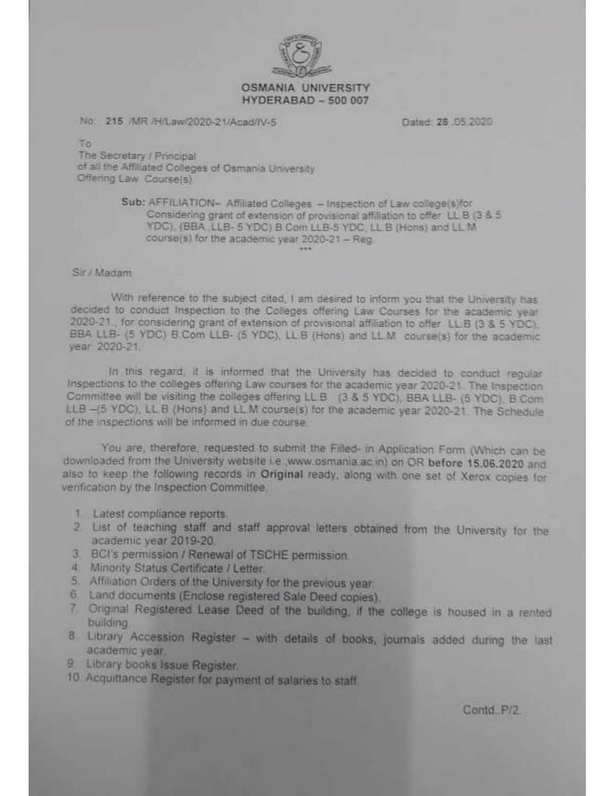

#### **OSMANIA UNIVERSITY HYDERABAD - 500 007**

### No. 215 /MR /H/Law/2020-21/Acad/IV-S

Dated 28 05 2020

To

The Secretary / Principal of all the Affiliated Colleges of Osmania University Offering Law Course(s)

### Sub: AFFILIATION- Affiliated Colleges - Inspection of Law college(s)for Considering grant of extension of provisional affiliation to offer LL B (3 & 5) YDC), (BBA LLB- 5 YDC) B.Com LLB-5 YDC, LL B (Hons) and LL M course(s) for the academic year 2020-21 - Reg.

#### Sir / Madam

With reference to the subject cited, I am desired to inform you that the University has decided to conduct Inspection to the Colleges offering Law Courses for the academic year 2020-21. for considering grant of extension of provisional affiliation to offer LL B (3 & 5 YDC). BBA LLB- (5 YDC) B Com LLB- (5 YDC), LL B (Hons) and LL M course(s) for the academic vear 2020-21

In this regard, it is informed that the University has decided to conduct regular Inspections to the colleges offering Law courses for the academic year 2020-21. The Inspection Committee will be visiting the colleges offering LL B (3 & 5 YDC), BBA LLB- (5 YDC), B.Com LLB -(5 YDC), LL B (Hons) and LL M course(s) for the academic year 2020-21. The Schedule of the inspections will be informed in due course.

You are, therefore, requested to submit the Filled- in Application Form (Which can be downloaded from the University website i.e., www.osmania.ac.in) on OR before 15,06,2020 and also to keep the following records in Original ready, along with one set of Xerox copies for verification by the Inspection Committee.

- 1 Latest compliance reports.
- 2. List of teaching staff and staff approval letters obtained from the University for the academic year 2019-20
- 3. BCI's permission / Renewal of TSCHE permission
- 4. Minority Status Certificate / Letter.
- 5 Affiliation Orders of the University for the previous year.
- 6. Land documents (Enclose registered Sale Deed copies).
- 7 Original Registered Lease Deed of the building, if the college is housed in a rented building
- 8 Library Accession Register with details of books, journals added during the last academic year.
- 9. Library books Issue Register.
- 10. Acquittance Register for payment of salaries to staff.

Contd, P/2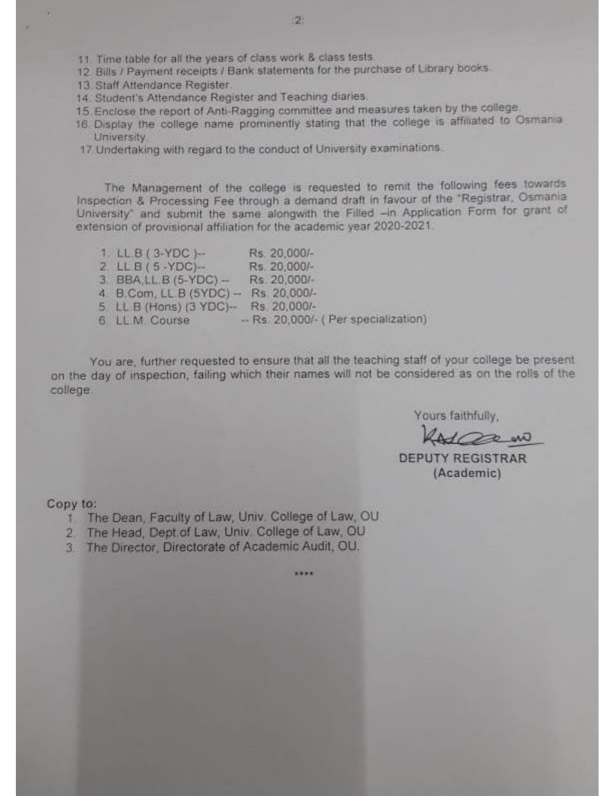- 11. Time table for all the years of class work & class tests.
- 12 Bills / Payment receipts / Bank statements for the purchase of Library books.
- 13. Staff Attendance Register.
- 14. Student's Attendance Register and Teaching diaries.
- 15. Enclose the report of Anti-Ragging committee and measures taken by the college.
- 16. Display the college name prominently stating that the college is affiliated to Osmania **University**
- 17. Undertaking with regard to the conduct of University examinations.

The Management of the college is requested to remit the following fees towards Inspection & Processing Fee through a demand draft in favour of the "Registrar, Osmania University" and submit the same alongwith the Filled -in Application Form for grant of extension of provisional affiliation for the academic year 2020-2021.

| $1. L.B. (3-YDC) -$       | Rs. 20,000/- |                                    |
|---------------------------|--------------|------------------------------------|
| $2. LLB(5-YDC)$ -         | Rs. 20,000/- |                                    |
| $3$ BBA, LL B $(5-YDC)$ - | Rs 20,000/-  |                                    |
| 4. B.Com, LL.B $(5YDC)$ - | Rs 20,000/-  |                                    |
| 5. LL B (Hons) (3 YDC)-   | Rs 20,000/-  |                                    |
| 6 LL M. Course            |              | - Rs. 20,000/- (Per specialization |

You are, further requested to ensure that all the teaching staff of your college be present on the day of inspection, failing which their names will not be considered as on the rolls of the college.

....

Yours faithfully,

Warn

**DEPUTY REGISTRAR** (Academic)

Copy to:

- 1. The Dean, Faculty of Law, Univ. College of Law, OU
- 2 The Head, Dept of Law, Univ. College of Law, OU
- 3 The Director, Directorate of Academic Audit, OU.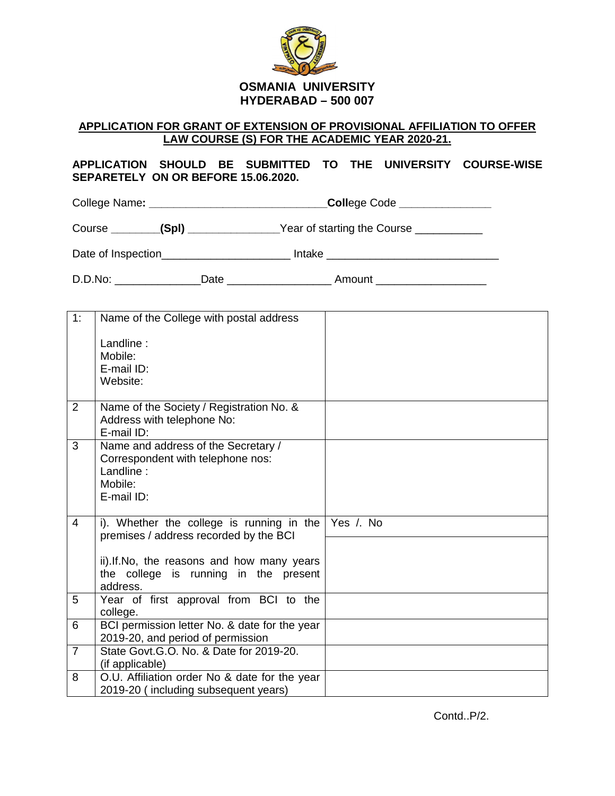

## **APPLICATION FOR GRANT OF EXTENSION OF PROVISIONAL AFFILIATION TO OFFER LAW COURSE (S) FOR THE ACADEMIC YEAR 2020-21.**

## **APPLICATION SHOULD BE SUBMITTED TO THE UNIVERSITY COURSE-WISE SEPARETELY ON OR BEFORE 15.06.2020.**

College Name**: \_\_\_\_\_\_\_\_\_\_\_\_\_\_\_\_\_\_\_\_\_\_\_\_\_\_\_\_\_Coll**ege Code **\_\_\_\_\_\_\_\_\_\_\_\_\_\_\_**

Course **\_\_\_\_\_\_\_\_(Spl)** \_\_\_\_\_\_\_\_\_\_\_\_\_\_\_Year of starting the Course \_\_\_\_\_\_\_\_\_\_\_\_\_

Date of Inspection\_\_\_\_\_\_\_\_\_\_\_\_\_\_\_\_\_\_\_\_\_\_\_\_ Intake \_\_\_\_\_\_\_\_\_\_\_\_\_\_\_\_\_\_\_\_\_\_\_\_\_\_\_\_\_\_

D.D.No: \_\_\_\_\_\_\_\_\_\_\_\_\_\_Date \_\_\_\_\_\_\_\_\_\_\_\_\_\_\_\_\_ Amount \_\_\_\_\_\_\_\_\_\_\_\_\_\_\_\_\_\_

| 1:             | Name of the College with postal address                                                                        |           |
|----------------|----------------------------------------------------------------------------------------------------------------|-----------|
|                | Landline:<br>Mobile:<br>E-mail ID:<br>Website:                                                                 |           |
| 2              | Name of the Society / Registration No. &<br>Address with telephone No:<br>E-mail ID:                           |           |
| 3              | Name and address of the Secretary /<br>Correspondent with telephone nos:<br>Landline:<br>Mobile:<br>E-mail ID: |           |
| $\overline{4}$ | i). Whether the college is running in the<br>premises / address recorded by the BCI                            | Yes /. No |
|                | ii). If. No, the reasons and how many years<br>the college is running in the present<br>address.               |           |
| 5              | Year of first approval from BCI to the<br>college.                                                             |           |
| 6              | BCI permission letter No. & date for the year<br>2019-20, and period of permission                             |           |
| $\overline{7}$ | State Govt. G.O. No. & Date for 2019-20.<br>(if applicable)                                                    |           |
| 8              | O.U. Affiliation order No & date for the year<br>2019-20 (including subsequent years)                          |           |

Contd..P/2.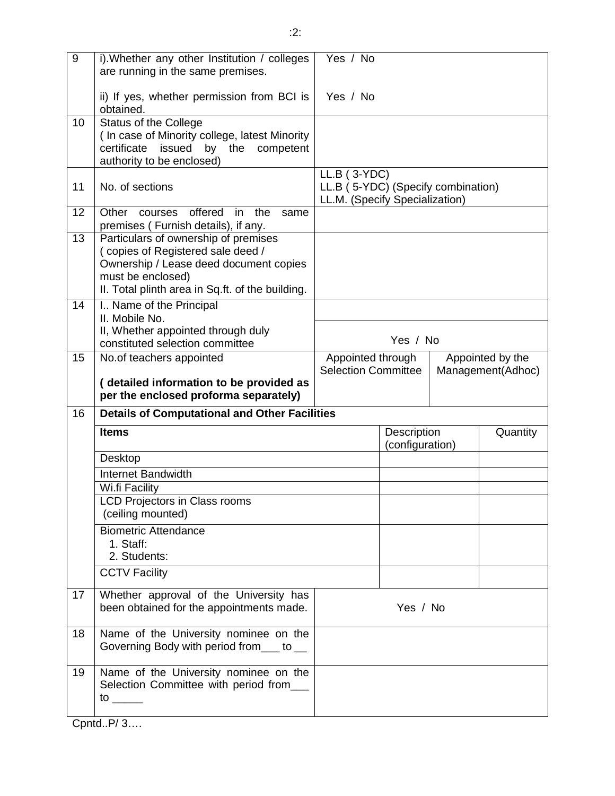| 9  | i). Whether any other Institution / colleges<br>are running in the same premises.                                                                                                            | Yes / No                                                                               |                                |                  |                   |  |
|----|----------------------------------------------------------------------------------------------------------------------------------------------------------------------------------------------|----------------------------------------------------------------------------------------|--------------------------------|------------------|-------------------|--|
|    | ii) If yes, whether permission from BCI is<br>obtained.                                                                                                                                      | Yes / No                                                                               |                                |                  |                   |  |
| 10 | <b>Status of the College</b><br>(In case of Minority college, latest Minority<br>issued<br>certificate<br>by<br>the<br>competent<br>authority to be enclosed)                                |                                                                                        |                                |                  |                   |  |
| 11 | No. of sections                                                                                                                                                                              | $LL.B$ (3-YDC)<br>LL.B (5-YDC) (Specify combination)<br>LL.M. (Specify Specialization) |                                |                  |                   |  |
| 12 | offered<br>the<br>Other<br>in<br>courses<br>same<br>premises (Furnish details), if any.                                                                                                      |                                                                                        |                                |                  |                   |  |
| 13 | Particulars of ownership of premises<br>(copies of Registered sale deed /<br>Ownership / Lease deed document copies<br>must be enclosed)<br>II. Total plinth area in Sq.ft. of the building. |                                                                                        |                                |                  |                   |  |
| 14 | I Name of the Principal<br>II. Mobile No.<br>II, Whether appointed through duly                                                                                                              | Yes / No                                                                               |                                |                  |                   |  |
| 15 | constituted selection committee<br>No.of teachers appointed                                                                                                                                  | Appointed through                                                                      |                                | Appointed by the |                   |  |
|    | (detailed information to be provided as<br>per the enclosed proforma separately)                                                                                                             | <b>Selection Committee</b>                                                             |                                |                  | Management(Adhoc) |  |
| 16 | <b>Details of Computational and Other Facilities</b>                                                                                                                                         |                                                                                        |                                |                  |                   |  |
|    | <b>Items</b>                                                                                                                                                                                 |                                                                                        | Description<br>(configuration) |                  | Quantity          |  |
|    | Desktop                                                                                                                                                                                      |                                                                                        |                                |                  |                   |  |
|    | Internet Bandwidth                                                                                                                                                                           |                                                                                        |                                |                  |                   |  |
|    | Wi.fi Facility<br>LCD Projectors in Class rooms<br>(ceiling mounted)                                                                                                                         |                                                                                        |                                |                  |                   |  |
|    | <b>Biometric Attendance</b><br>1. Staff:<br>2. Students:                                                                                                                                     |                                                                                        |                                |                  |                   |  |
|    | <b>CCTV Facility</b>                                                                                                                                                                         |                                                                                        |                                |                  |                   |  |
| 17 | Whether approval of the University has<br>been obtained for the appointments made.                                                                                                           |                                                                                        | Yes / No                       |                  |                   |  |
| 18 | Name of the University nominee on the<br>Governing Body with period from___ to __                                                                                                            |                                                                                        |                                |                  |                   |  |
| 19 | Name of the University nominee on the<br>Selection Committee with period from__<br>to $\rule{1em}{0.15mm}$                                                                                   |                                                                                        |                                |                  |                   |  |

Cpntd..P/ 3….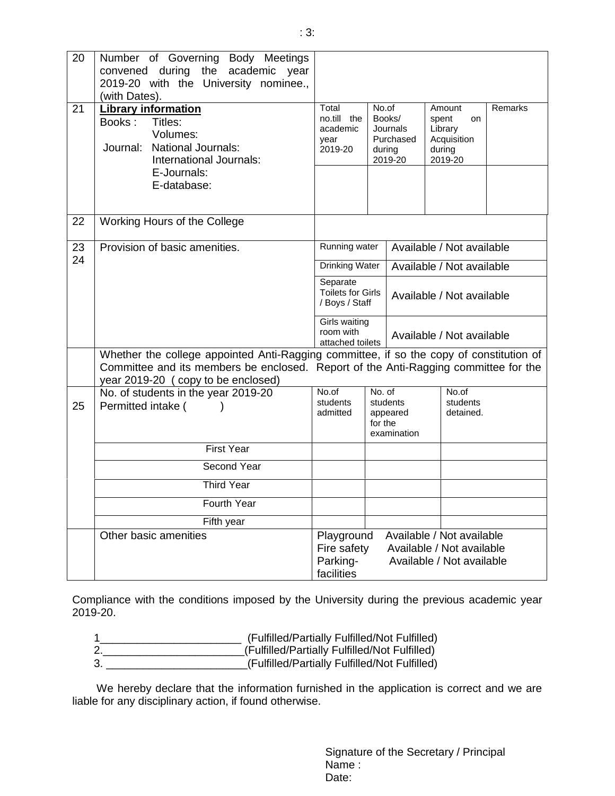| 20 | Number of Governing Body Meetings<br>convened during the academic year<br>2019-20 with the University nominee.,<br>(with Dates). |                                                                                                                                                                                |                                                        |                                                      |                                                                      |                           |  |
|----|----------------------------------------------------------------------------------------------------------------------------------|--------------------------------------------------------------------------------------------------------------------------------------------------------------------------------|--------------------------------------------------------|------------------------------------------------------|----------------------------------------------------------------------|---------------------------|--|
| 21 | <b>Library information</b><br>Books:<br>Titles:<br>Volumes:<br>Journal: National Journals:<br>International Journals:            | Total<br>no.till the<br>academic<br>year<br>2019-20                                                                                                                            | No.of                                                  | Books/<br>Journals<br>Purchased<br>during<br>2019-20 | Amount<br>spent<br>on<br>Library<br>Acquisition<br>during<br>2019-20 | Remarks                   |  |
|    | E-Journals:<br>E-database:                                                                                                       |                                                                                                                                                                                |                                                        |                                                      |                                                                      |                           |  |
| 22 | Working Hours of the College                                                                                                     |                                                                                                                                                                                |                                                        |                                                      |                                                                      |                           |  |
| 23 | Provision of basic amenities.                                                                                                    | Running water<br><b>Drinking Water</b>                                                                                                                                         |                                                        |                                                      | Available / Not available                                            |                           |  |
| 24 |                                                                                                                                  |                                                                                                                                                                                |                                                        |                                                      | Available / Not available                                            |                           |  |
|    |                                                                                                                                  |                                                                                                                                                                                | Separate<br><b>Toilets for Girls</b><br>/ Boys / Staff |                                                      |                                                                      | Available / Not available |  |
|    |                                                                                                                                  | room with                                                                                                                                                                      | Girls waiting<br>attached toilets                      |                                                      |                                                                      | Available / Not available |  |
|    | year 2019-20 (copy to be enclosed)                                                                                               | Whether the college appointed Anti-Ragging committee, if so the copy of constitution of<br>Committee and its members be enclosed. Report of the Anti-Ragging committee for the |                                                        |                                                      |                                                                      |                           |  |
| 25 | No. of students in the year 2019-20<br>Permitted intake (                                                                        | No.of<br>students<br>admitted                                                                                                                                                  | No. of<br>for the                                      | students<br>appeared<br>examination                  | No.of<br>students<br>detained.                                       |                           |  |
|    | <b>First Year</b>                                                                                                                |                                                                                                                                                                                |                                                        |                                                      |                                                                      |                           |  |
|    | Second Year                                                                                                                      |                                                                                                                                                                                |                                                        |                                                      |                                                                      |                           |  |
|    | <b>Third Year</b>                                                                                                                |                                                                                                                                                                                |                                                        |                                                      |                                                                      |                           |  |
|    | Fourth Year                                                                                                                      |                                                                                                                                                                                |                                                        |                                                      |                                                                      |                           |  |
|    | Fifth year                                                                                                                       |                                                                                                                                                                                |                                                        |                                                      |                                                                      |                           |  |
|    | Other basic amenities                                                                                                            | Available / Not available<br>Playground<br>Fire safety<br>Available / Not available<br>Parking-<br>Available / Not available<br>facilities                                     |                                                        |                                                      |                                                                      |                           |  |

Compliance with the conditions imposed by the University during the previous academic year 2019-20.

- 1\_\_\_\_\_\_\_\_\_\_\_\_\_\_\_\_\_\_\_\_\_\_\_ (Fulfilled/Partially Fulfilled/Not Fulfilled)
- 2.\_\_\_\_\_\_\_\_\_\_\_\_\_\_\_\_\_\_\_\_\_\_\_(Fulfilled/Partially Fulfilled/Not Fulfilled)
	- 3. \_\_\_\_\_\_\_\_\_\_\_\_\_\_\_\_\_\_\_\_\_\_\_(Fulfilled/Partially Fulfilled/Not Fulfilled)

 We hereby declare that the information furnished in the application is correct and we are liable for any disciplinary action, if found otherwise.

> Signature of the Secretary / Principal Name : Date: